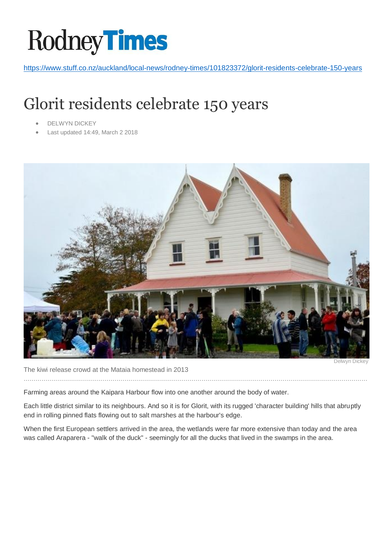## **Rodney Times**

<https://www.stuff.co.nz/auckland/local-news/rodney-times/101823372/glorit-residents-celebrate-150-years>

## Glorit residents celebrate 150 years

- DELWYN DICKEY
- Last updated 14:49, March 2 2018



The kiwi release crowd at the Mataia homestead in 2013

…………………………………………………………………………………………………………………………………………………………

Delwyn Dickey

Farming areas around the Kaipara Harbour flow into one another around the body of water.

Each little district similar to its neighbours. And so it is for Glorit, with its rugged 'character building' hills that abruptly end in rolling pinned flats flowing out to salt marshes at the harbour's edge.

When the first European settlers arrived in the area, the wetlands were far more extensive than today and the area was called Araparera - "walk of the duck" - seemingly for all the ducks that lived in the swamps in the area.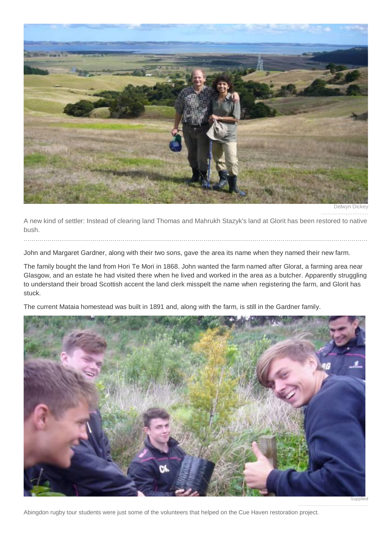

Delwyn Dickey ………………………

A new kind of settler: Instead of clearing land Thomas and Mahrukh Stazyk's land at Glorit has been restored to native bush.

…………………………………………………………………………………………………………………………………………………………

John and Margaret Gardner, along with their two sons, gave the area its name when they named their new farm.

The family bought the land from Hori Te Mori in 1868. John wanted the farm named after Glorat, a farming area near Glasgow, and an estate he had visited there when he lived and worked in the area as a butcher. Apparently struggling to understand their broad Scottish accent the land clerk misspelt the name when registering the farm, and Glorit has stuck.

The current Mataia homestead was built in 1891 and, along with the farm, is still in the Gardner family.



**Supplied** 

……………………………………….

Abingdon rugby tour students were just some of the volunteers that helped on the Cue Haven restoration project.